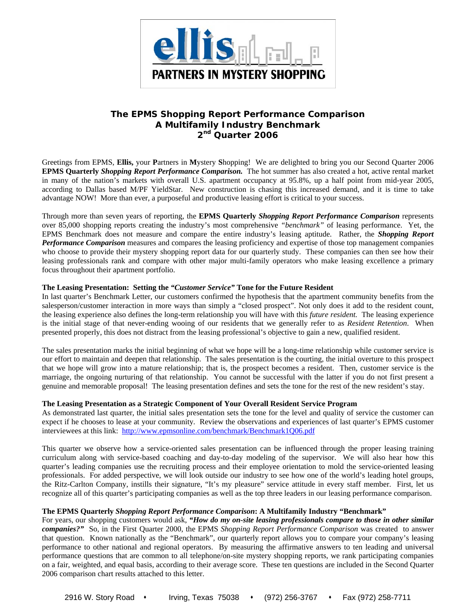

# **The EPMS** *Shopping Report Performance Comparison*  **A Multifamily Industry Benchmark 2nd Quarter 2006**

Greetings from EPMS, **Ellis,** your **P**artners in **M**ystery **S**hopping! We are delighted to bring you our Second Quarter 2006 **EPMS Quarterly** *Shopping Report Performance Comparison.* The hot summer has also created a hot, active rental market in many of the nation's markets with overall U.S. apartment occupancy at 95.8%, up a half point from mid-year 2005, according to Dallas based M/PF YieldStar. New construction is chasing this increased demand, and it is time to take advantage NOW! More than ever, a purposeful and productive leasing effort is critical to your success.

Through more than seven years of reporting, the **EPMS Quarterly** *Shopping Report Performance Comparison* represents over 85,000 shopping reports creating the industry's most comprehensive *"benchmark"* of leasing performance. Yet, the EPMS Benchmark does not measure and compare the entire industry's leasing aptitude. Rather, the *Shopping Report Performance Comparison* measures and compares the leasing proficiency and expertise of those top management companies who choose to provide their mystery shopping report data for our quarterly study. These companies can then see how their leasing professionals rank and compare with other major multi-family operators who make leasing excellence a primary focus throughout their apartment portfolio.

## **The Leasing Presentation: Setting the** *"Customer Service"* **Tone for the Future Resident**

In last quarter's Benchmark Letter, our customers confirmed the hypothesis that the apartment community benefits from the salesperson/customer interaction in more ways than simply a "closed prospect". Not only does it add to the resident count, the leasing experience also defines the long-term relationship you will have with this *future resident.* The leasing experience is the initial stage of that never-ending wooing of our residents that we generally refer to as *Resident Retention*. When presented properly, this does not distract from the leasing professional's objective to gain a new, qualified resident.

The sales presentation marks the initial beginning of what we hope will be a long-time relationship while customer service is our effort to maintain and deepen that relationship. The sales presentation is the courting, the initial overture to this prospect that we hope will grow into a mature relationship; that is, the prospect becomes a resident. Then, customer service is the marriage, the ongoing nurturing of that relationship. You cannot be successful with the latter if you do not first present a genuine and memorable proposal! The leasing presentation defines and sets the tone for the rest of the new resident's stay.

#### **The Leasing Presentation as a Strategic Component of Your Overall Resident Service Program**

As demonstrated last quarter, the initial sales presentation sets the tone for the level and quality of service the customer can expect if he chooses to lease at your community. Review the observations and experiences of last quarter's EPMS customer interviewees at this link: http://www.epmsonline.com/benchmark/Benchmark1Q06.pdf

This quarter we observe how a service-oriented sales presentation can be influenced through the proper leasing training curriculum along with service-based coaching and day-to-day modeling of the supervisor. We will also hear how this quarter's leading companies use the recruiting process and their employee orientation to mold the service-oriented leasing professionals. For added perspective, we will look outside our industry to see how one of the world's leading hotel groups, the Ritz-Carlton Company, instills their signature, "It's my pleasure" service attitude in every staff member. First, let us recognize all of this quarter's participating companies as well as the top three leaders in our leasing performance comparison.

## **The EPMS Quarterly** *Shopping Report Performance Comparison***: A Multifamily Industry "Benchmark"**

For years, our shopping customers would ask, *"How do my on-site leasing professionals compare to those in other similar companies?"* So, in the First Quarter 2000, the EPMS *Shopping Report Performance Comparison* was created to answer that question. Known nationally as the "Benchmark", our quarterly report allows you to compare your company's leasing performance to other national and regional operators. By measuring the affirmative answers to ten leading and universal performance questions that are common to all telephone/on-site mystery shopping reports, we rank participating companies on a fair, weighted, and equal basis, according to their average score. These ten questions are included in the Second Quarter 2006 comparison chart results attached to this letter.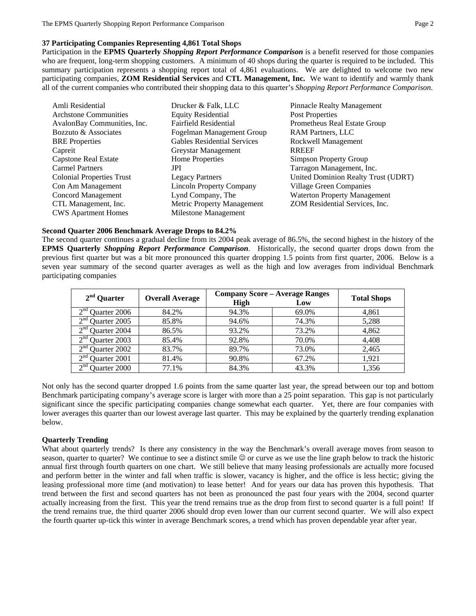## **37 Participating Companies Representing 4,861 Total Shops**

Participation in the **EPMS Quarterly** *Shopping Report Performance Comparison* is a benefit reserved for those companies who are frequent, long-term shopping customers. A minimum of 40 shops during the quarter is required to be included. This summary participation represents a shopping report total of 4,861 evaluations. We are delighted to welcome two new participating companies, **ZOM Residential Services** and **CTL Management, Inc.** We want to identify and warmly thank all of the current companies who contributed their shopping data to this quarter's *Shopping Report Performance Comparison*.

| Amli Residential                 | Drucker & Falk, LLC                | <b>Pinnacle Realty Management</b>   |
|----------------------------------|------------------------------------|-------------------------------------|
| Archstone Communities            | <b>Equity Residential</b>          | Post Properties                     |
| AvalonBay Communities, Inc.      | <b>Fairfield Residential</b>       | Prometheus Real Estate Group        |
| Bozzuto & Associates             | Fogelman Management Group          | <b>RAM Partners, LLC</b>            |
| <b>BRE</b> Properties            | <b>Gables Residential Services</b> | Rockwell Management                 |
| Capreit                          | Greystar Management                | <b>RREEF</b>                        |
| <b>Capstone Real Estate</b>      | Home Properties                    | Simpson Property Group              |
| <b>Carmel Partners</b>           | JPI                                | Tarragon Management, Inc.           |
| <b>Colonial Properties Trust</b> | <b>Legacy Partners</b>             | United Dominion Realty Trust (UDRT) |
| Con Am Management                | <b>Lincoln Property Company</b>    | <b>Village Green Companies</b>      |
| Concord Management               | Lynd Company, The                  | <b>Waterton Property Management</b> |
| CTL Management, Inc.             | Metric Property Management         | ZOM Residential Services, Inc.      |
| <b>CWS</b> Apartment Homes       | Milestone Management               |                                     |

#### **Second Quarter 2006 Benchmark Average Drops to 84.2%**

The second quarter continues a gradual decline from its 2004 peak average of 86.5%, the second highest in the history of the **EPMS Quarterly** *Shopping Report Performance Comparison*. Historically, the second quarter drops down from the previous first quarter but was a bit more pronounced this quarter dropping 1.5 points from first quarter, 2006. Below is a seven year summary of the second quarter averages as well as the high and low averages from individual Benchmark participating companies

| $2nd$ Quarter                      | <b>Overall Average</b> | <b>Company Score - Average Ranges</b> |       |                    |  |
|------------------------------------|------------------------|---------------------------------------|-------|--------------------|--|
|                                    |                        | <b>High</b>                           | Low   | <b>Total Shops</b> |  |
| 2 <sup>nd</sup><br>Quarter 2006    | 84.2%                  | 94.3%                                 | 69.0% | 4,861              |  |
| 2 <sup>nd</sup><br>Quarter 2005    | 85.8%                  | 94.6%                                 | 74.3% | 5,288              |  |
| $2^{nd}$<br><b>Ouarter 2004</b>    | 86.5%                  | 93.2%                                 | 73.2% | 4,862              |  |
| $\gamma$ nd<br><b>Ouarter 2003</b> | 85.4%                  | 92.8%                                 | 70.0% | 4,408              |  |
| 2 <sup>nd</sup><br>Quarter 2002    | 83.7%                  | 89.7%                                 | 73.0% | 2,465              |  |
| $\gamma$ nd<br>Quarter 2001        | 81.4%                  | 90.8%                                 | 67.2% | 1.921              |  |
| $\gamma$ nd<br><b>Ouarter 2000</b> | 77.1%                  | 84.3%                                 | 43.3% | 1.356              |  |

Not only has the second quarter dropped 1.6 points from the same quarter last year, the spread between our top and bottom Benchmark participating company's average score is larger with more than a 25 point separation. This gap is not particularly significant since the specific participating companies change somewhat each quarter. Yet, there are four companies with lower averages this quarter than our lowest average last quarter. This may be explained by the quarterly trending explanation below.

#### **Quarterly Trending**

What about quarterly trends? Is there any consistency in the way the Benchmark's overall average moves from season to season, quarter to quarter? We continue to see a distinct smile  $\heartsuit$  or curve as we use the line graph below to track the historic annual first through fourth quarters on one chart. We still believe that many leasing professionals are actually more focused and perform better in the winter and fall when traffic is slower, vacancy is higher, and the office is less hectic; giving the leasing professional more time (and motivation) to lease better! And for years our data has proven this hypothesis. That trend between the first and second quarters has not been as pronounced the past four years with the 2004, second quarter actually increasing from the first. This year the trend remains true as the drop from first to second quarter is a full point! If the trend remains true, the third quarter 2006 should drop even lower than our current second quarter. We will also expect the fourth quarter up-tick this winter in average Benchmark scores, a trend which has proven dependable year after year.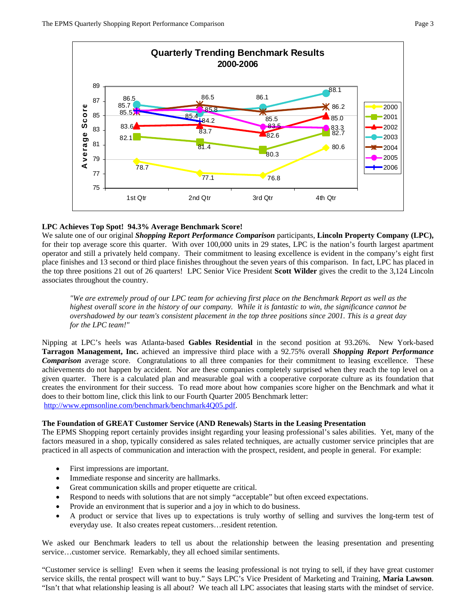

## **LPC Achieves Top Spot! 94.3% Average Benchmark Score!**

We salute one of our original *Shopping Report Performance Comparison* participants, **Lincoln Property Company (LPC),**  for their top average score this quarter. With over 100,000 units in 29 states, LPC is the nation's fourth largest apartment operator and still a privately held company. Their commitment to leasing excellence is evident in the company's eight first place finishes and 13 second or third place finishes throughout the seven years of this comparison. In fact, LPC has placed in the top three positions 21 out of 26 quarters! LPC Senior Vice President **Scott Wilder** gives the credit to the 3,124 Lincoln associates throughout the country.

*"We are extremely proud of our LPC team for achieving first place on the Benchmark Report as well as the highest overall score in the history of our company. While it is fantastic to win, the significance cannot be overshadowed by our team's consistent placement in the top three positions since 2001. This is a great day for the LPC team!"* 

Nipping at LPC's heels was Atlanta-based **Gables Residential** in the second position at 93.26%. New York-based **Tarragon Management, Inc.** achieved an impressive third place with a 92.75% overall *Shopping Report Performance Comparison* average score. Congratulations to all three companies for their commitment to leasing excellence. These achievements do not happen by accident. Nor are these companies completely surprised when they reach the top level on a given quarter. There is a calculated plan and measurable goal with a cooperative corporate culture as its foundation that creates the environment for their success. To read more about how companies score higher on the Benchmark and what it does to their bottom line, click this link to our Fourth Quarter 2005 Benchmark letter: http://www.epmsonline.com/benchmark/benchmark4Q05.pdf.

#### **The Foundation of GREAT Customer Service (AND Renewals) Starts in the Leasing Presentation**

The EPMS Shopping report certainly provides insight regarding your leasing professional's sales abilities. Yet, many of the factors measured in a shop, typically considered as sales related techniques, are actually customer service principles that are practiced in all aspects of communication and interaction with the prospect, resident, and people in general. For example:

- First impressions are important.
- Immediate response and sincerity are hallmarks.
- Great communication skills and proper etiquette are critical.
- Respond to needs with solutions that are not simply "acceptable" but often exceed expectations.
- Provide an environment that is superior and a joy in which to do business.
- A product or service that lives up to expectations is truly worthy of selling and survives the long-term test of everyday use. It also creates repeat customers…resident retention.

We asked our Benchmark leaders to tell us about the relationship between the leasing presentation and presenting service...customer service. Remarkably, they all echoed similar sentiments.

"Customer service is selling! Even when it seems the leasing professional is not trying to sell, if they have great customer service skills, the rental prospect will want to buy." Says LPC's Vice President of Marketing and Training, **Maria Lawson**. "Isn't that what relationship leasing is all about? We teach all LPC associates that leasing starts with the mindset of service.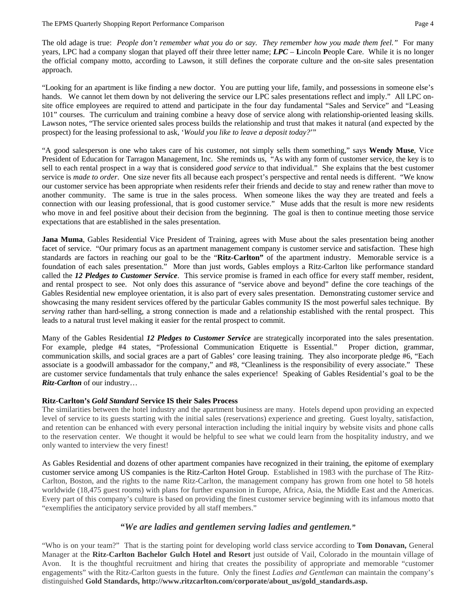The old adage is true: *People don't remember what you do or say. They remember how you made them feel."* For many years, LPC had a company slogan that played off their three letter name; *LPC* – **L**incoln **P**eople **C**are. While it is no longer the official company motto, according to Lawson, it still defines the corporate culture and the on-site sales presentation approach.

"Looking for an apartment is like finding a new doctor. You are putting your life, family, and possessions in someone else's hands. We cannot let them down by not delivering the service our LPC sales presentations reflect and imply." All LPC onsite office employees are required to attend and participate in the four day fundamental "Sales and Service" and "Leasing 101" courses. The curriculum and training combine a heavy dose of service along with relationship-oriented leasing skills. Lawson notes, "The service oriented sales process builds the relationship and trust that makes it natural (and expected by the prospect) for the leasing professional to ask, '*Would you like to leave a deposit today?*'"

"A good salesperson is one who takes care of his customer, not simply sells them something," says **Wendy Muse**, Vice President of Education for Tarragon Management, Inc. She reminds us, "As with any form of customer service, the key is to sell to each rental prospect in a way that is considered *good service* to that individual." She explains that the best customer service is *made to order*. One size never fits all because each prospect's perspective and rental needs is different. "We know our customer service has been appropriate when residents refer their friends and decide to stay and renew rather than move to another community. The same is true in the sales process. When someone likes the way they are treated and feels a connection with our leasing professional, that is good customer service." Muse adds that the result is more new residents who move in and feel positive about their decision from the beginning. The goal is then to continue meeting those service expectations that are established in the sales presentation.

**Jana Muma**, Gables Residential Vice President of Training, agrees with Muse about the sales presentation being another facet of service. "Our primary focus as an apartment management company is customer service and satisfaction. These high standards are factors in reaching our goal to be the "**Ritz-Carlton"** of the apartment industry. Memorable service is a foundation of each sales presentation." More than just words, Gables employs a Ritz-Carlton like performance standard called the *12 Pledges to Customer Service*. This service promise is framed in each office for every staff member, resident, and rental prospect to see. Not only does this assurance of "service above and beyond" define the core teachings of the Gables Residential new employee orientation, it is also part of every sales presentation. Demonstrating customer service and showcasing the many resident services offered by the particular Gables community IS the most powerful sales technique. By *serving* rather than hard-selling, a strong connection is made and a relationship established with the rental prospect. This leads to a natural trust level making it easier for the rental prospect to commit.

Many of the Gables Residential *12 Pledges to Customer Service* are strategically incorporated into the sales presentation. For example, pledge #4 states, "Professional Communication Etiquette is Essential." Proper diction, grammar, communication skills, and social graces are a part of Gables' core leasing training. They also incorporate pledge #6, "Each associate is a goodwill ambassador for the company," and #8, "Cleanliness is the responsibility of every associate." These are customer service fundamentals that truly enhance the sales experience! Speaking of Gables Residential's goal to be the *Ritz-Carlton* of our industry…

#### **Ritz-Carlton's** *Gold Standard* **Service IS their Sales Process**

The similarities between the hotel industry and the apartment business are many. Hotels depend upon providing an expected level of service to its guests starting with the initial sales (reservations) experience and greeting. Guest loyalty, satisfaction, and retention can be enhanced with every personal interaction including the initial inquiry by website visits and phone calls to the reservation center. We thought it would be helpful to see what we could learn from the hospitality industry, and we only wanted to interview the very finest!

As Gables Residential and dozens of other apartment companies have recognized in their training, the epitome of exemplary customer service among US companies is the Ritz-Carlton Hotel Group. Established in 1983 with the purchase of The Ritz-Carlton, Boston, and the rights to the name Ritz-Carlton, the management company has grown from one hotel to 58 hotels worldwide (18,475 guest rooms) with plans for further expansion in Europe, Africa, Asia, the Middle East and the Americas. Every part of this company's culture is based on providing the finest customer service beginning with its infamous motto that "exemplifies the anticipatory service provided by all staff members."

## *"We are ladies and gentlemen serving ladies and gentlemen."*

"Who is on your team?" That is the starting point for developing world class service according to **Tom Donavan,** General Manager at the **Ritz-Carlton Bachelor Gulch Hotel and Resort** just outside of Vail, Colorado in the mountain village of Avon. It is the thoughtful recruitment and hiring that creates the possibility of appropriate and memorable "customer engagements" with the Ritz-Carlton guests in the future. Only the finest *Ladies and Gentleman* can maintain the company's distinguished **Gold Standards, http://www.ritzcarlton.com/corporate/about\_us/gold\_standards.asp.**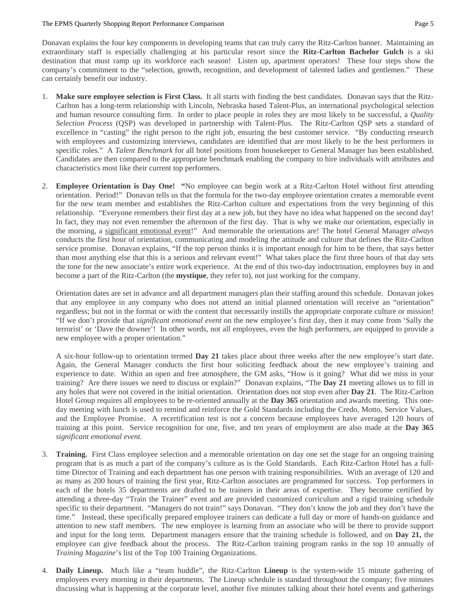#### The EPMS Quarterly Shopping Report Performance Comparison **Page 5** 2014

Donavan explains the four key components in developing teams that can truly carry the Ritz-Carlton banner. Maintaining an extraordinary staff is especially challenging at his particular resort since the **Ritz-Carlton Bachelor Gulch** is a ski destination that must ramp up its workforce each season! Listen up, apartment operators! These four steps show the company's commitment to the "selection, growth, recognition, and development of talented ladies and gentlemen." These can certainly benefit our industry.

- 1. **Make sure employee selection is First Class.** It all starts with finding the best candidates. Donavan says that the Ritz-Carlton has a long-term relationship with Lincoln, Nebraska based Talent-Plus, an international psychological selection and human resource consulting firm. In order to place people in roles they are most likely to be successful, a *Quality Selection Process* (QSP) was developed in partnership with Talent-Plus. The Ritz-Carlton QSP sets a standard of excellence in "casting" the right person to the right job, ensuring the best customer service. "By conducting research with employees and customizing interviews, candidates are identified that are most likely to be the best performers in specific roles." A *Talent Benchmark* for all hotel positions from housekeeper to General Manager has been established. Candidates are then compared to the appropriate benchmark enabling the company to hire individuals with attributes and characteristics most like their current top performers.
- 2. **Employee Orientation is Day One! "**No employee can begin work at a Ritz-Carlton Hotel without first attending orientation. Period!" Donavan tells us that the formula for the two-day employee orientation creates a memorable event for the new team member and establishes the Ritz-Carlton culture and expectations from the very beginning of this relationship. "Everyone remembers their first day at a new job, but they have no idea what happened on the second day! In fact, they may not even remember the afternoon of the first day. That is why we make our orientation, especially in the morning, a significant emotional event!" And memorable the orientations are! The hotel General Manager *always* conducts the first hour of orientation, communicating and modeling the attitude and culture that defines the Ritz-Carlton service promise. Donavan explains, "If the top person thinks it is important enough for him to be there, that says better than most anything else that this is a serious and relevant event!" What takes place the first three hours of that day sets the tone for the new associate's entire work experience. At the end of this two-day indoctrination, employees buy in and become a part of the Ritz-Carlton (the **mystique**, they refer to), not just working for the company.

Orientation dates are set in advance and all department managers plan their staffing around this schedule. Donavan jokes that any employee in any company who does not attend an initial planned orientation will receive an "orientation" regardless; but not in the format or with the content that necessarily instills the appropriate corporate culture or mission! "If we don't provide that *significant emotional event* on the new employee's first day, then it may come from 'Sally the terrorist' or 'Dave the downer'! In other words, not all employees, even the high performers, are equipped to provide a new employee with a proper orientation."

A six-hour follow-up to orientation termed **Day 21** takes place about three weeks after the new employee's start date. Again, the General Manager conducts the first hour soliciting feedback about the new employee's training and experience to date. Within an open and free atmosphere, the GM asks, "How is it going? What did we miss in your training? Are there issues we need to discuss or explain?" Donavan explains, "The **Day 21** meeting allows us to fill in any holes that were not covered in the initial orientation. Orientation does not stop even after **Day 21**. The Ritz-Carlton Hotel Group requires all employees to be re-oriented annually at the **Day 365** orientation and awards meeting. This oneday meeting with lunch is used to remind and reinforce the Gold Standards including the Credo, Motto, Service Values, and the Employee Promise. A recertification test is not a concern because employees have averaged 120 hours of training at this point. Service recognition for one, five, and ten years of employment are also made at the **Day 365** *significant emotional event.* 

- 3. **Training.** First Class employee selection and a memorable orientation on day one set the stage for an ongoing training program that is as much a part of the company's culture as is the Gold Standards. Each Ritz-Carlton Hotel has a fulltime Director of Training and each department has one person with training responsibilities. With an average of 120 and as many as 200 hours of training the first year, Ritz-Carlton associates are programmed for success. Top performers in each of the hotels 35 departments are drafted to be trainers in their areas of expertise. They become certified by attending a three-day "Train the Trainer" event and are provided customized curriculum and a rigid training schedule specific to their department. "Managers do not train!" says Donavan. "They don't know the job and they don't have the time." Instead, these specifically prepared employee trainers can dedicate a full day or more of hands-on guidance and attention to new staff members. The new employee is learning from an associate who will be there to provide support and input for the long term. Department managers ensure that the training schedule is followed, and on **Day 21,** the employee can give feedback about the process. The Ritz-Carlton training program ranks in the top 10 annually of *Training Magazine*'s list of the Top 100 Training Organizations.
- 4. **Daily Lineup.** Much like a "team huddle", the Ritz-Carlton **Lineup** is the system-wide 15 minute gathering of employees every morning in their departments. The Lineup schedule is standard throughout the company; five minutes discussing what is happening at the corporate level, another five minutes talking about their hotel events and gatherings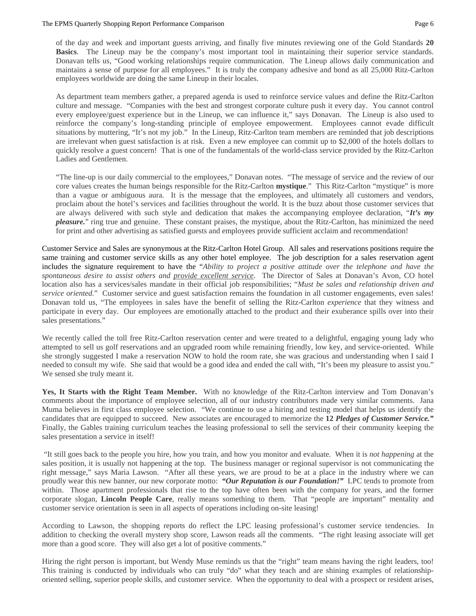of the day and week and important guests arriving, and finally five minutes reviewing one of the Gold Standards **20 Basics**. The Lineup may be the company's most important tool in maintaining their superior service standards. Donavan tells us, "Good working relationships require communication. The Lineup allows daily communication and maintains a sense of purpose for all employees." It is truly the company adhesive and bond as all 25,000 Ritz-Carlton employees worldwide are doing the same Lineup in their locales.

As department team members gather, a prepared agenda is used to reinforce service values and define the Ritz-Carlton culture and message. "Companies with the best and strongest corporate culture push it every day. You cannot control every employee/guest experience but in the Lineup, we can influence it," says Donavan. The Lineup is also used to reinforce the company's long-standing principle of employee empowerment. Employees cannot evade difficult situations by muttering, "It's not my job." In the Lineup, Ritz-Carlton team members are reminded that job descriptions are irrelevant when guest satisfaction is at risk. Even a new employee can commit up to \$2,000 of the hotels dollars to quickly resolve a guest concern! That is one of the fundamentals of the world-class service provided by the Ritz-Carlton Ladies and Gentlemen.

"The line-up is our daily commercial to the employees," Donavan notes. "The message of service and the review of our core values creates the human beings responsible for the Ritz-Carlton **mystique**." This Ritz-Carlton "mystique" is more than a vague or ambiguous aura. It is the message that the employees, and ultimately all customers and vendors, proclaim about the hotel's services and facilities throughout the world. It is the buzz about those customer services that are always delivered with such style and dedication that makes the accompanying employee declaration, "*It's my pleasure.*" ring true and genuine. These constant praises, the mystique, about the Ritz-Carlton, has minimized the need for print and other advertising as satisfied guests and employees provide sufficient acclaim and recommendation!

Customer Service and Sales are synonymous at the Ritz-Carlton Hotel Group. All sales and reservations positions require the same training and customer service skills as any other hotel employee. The job description for a sales reservation agent includes the signature requirement to have the "*Ability to project a positive attitude over the telephone and have the spontaneous desire to assist others and provide excellent service*. The Director of Sales at Donavan's Avon, CO hotel location also has a services/sales mandate in their official job responsibilities; "*Must be sales and relationship driven and service oriented.*" Customer service and guest satisfaction remains the foundation in all customer engagements, even sales! Donavan told us, "The employees in sales have the benefit of selling the Ritz-Carlton *experience* that they witness and participate in every day. Our employees are emotionally attached to the product and their exuberance spills over into their sales presentations."

We recently called the toll free Ritz-Carlton reservation center and were treated to a delightful, engaging young lady who attempted to sell us golf reservations and an upgraded room while remaining friendly, low key, and service-oriented. While she strongly suggested I make a reservation NOW to hold the room rate, she was gracious and understanding when I said I needed to consult my wife. She said that would be a good idea and ended the call with, "It's been my pleasure to assist you." We sensed she truly meant it.

**Yes, It Starts with the Right Team Member.** With no knowledge of the Ritz-Carlton interview and Tom Donavan's comments about the importance of employee selection, all of our industry contributors made very similar comments. Jana Muma believes in first class employee selection. "We continue to use a hiring and testing model that helps us identify the candidates that are equipped to succeed. New associates are encouraged to memorize the **12** *Pledges of Customer Service."* Finally, the Gables training curriculum teaches the leasing professional to sell the services of their community keeping the sales presentation a service in itself!

 "It still goes back to the people you hire, how you train, and how you monitor and evaluate. When it is *not happening* at the sales position, it is usually not happening at the top. The business manager or regional supervisor is not communicating the right message," says Maria Lawson. "After all these years, we are proud to be at a place in the industry where we can proudly wear this new banner, our new corporate motto: *"Our Reputation is our Foundation!"* LPC tends to promote from within. Those apartment professionals that rise to the top have often been with the company for years, and the former corporate slogan, **Lincoln People Care**, really means something to them. That "people are important" mentality and customer service orientation is seen in all aspects of operations including on-site leasing!

According to Lawson, the shopping reports do reflect the LPC leasing professional's customer service tendencies. In addition to checking the overall mystery shop score, Lawson reads all the comments. "The right leasing associate will get more than a good score. They will also get a lot of positive comments."

Hiring the right person is important, but Wendy Muse reminds us that the "right" team means having the right leaders, too! This training is conducted by individuals who can truly "do" what they teach and are shining examples of relationshiporiented selling, superior people skills, and customer service. When the opportunity to deal with a prospect or resident arises,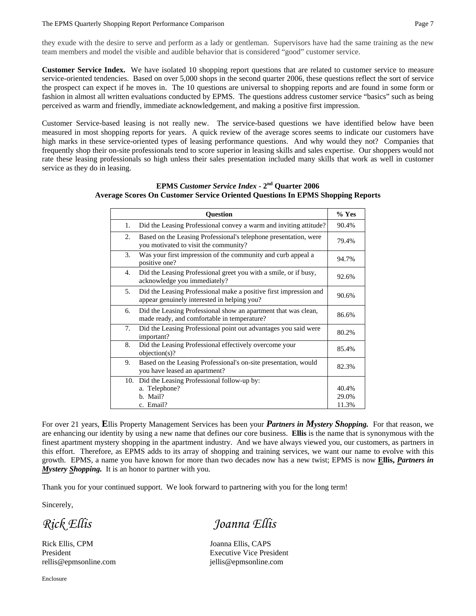#### The EPMS Quarterly Shopping Report Performance Comparison **Page 7** and Page 7

they exude with the desire to serve and perform as a lady or gentleman. Supervisors have had the same training as the new team members and model the visible and audible behavior that is considered "good" customer service.

**Customer Service Index.** We have isolated 10 shopping report questions that are related to customer service to measure service-oriented tendencies. Based on over 5,000 shops in the second quarter 2006, these questions reflect the sort of service the prospect can expect if he moves in. The 10 questions are universal to shopping reports and are found in some form or fashion in almost all written evaluations conducted by EPMS. The questions address customer service "basics" such as being perceived as warm and friendly, immediate acknowledgement, and making a positive first impression.

Customer Service-based leasing is not really new. The service-based questions we have identified below have been measured in most shopping reports for years. A quick review of the average scores seems to indicate our customers have high marks in these service-oriented types of leasing performance questions. And why would they not? Companies that frequently shop their on-site professionals tend to score superior in leasing skills and sales expertise. Our shoppers would not rate these leasing professionals so high unless their sales presentation included many skills that work as well in customer service as they do in leasing.

| <b>Question</b> |                                                                                                                  |                         |  |  |  |  |
|-----------------|------------------------------------------------------------------------------------------------------------------|-------------------------|--|--|--|--|
| 1.              | Did the Leasing Professional convey a warm and inviting attitude?                                                | 90.4%                   |  |  |  |  |
| 2.              | Based on the Leasing Professional's telephone presentation, were<br>you motivated to visit the community?        | 79.4%                   |  |  |  |  |
| 3.              | Was your first impression of the community and curb appeal a<br>positive one?                                    | 94.7%                   |  |  |  |  |
| 4.              | Did the Leasing Professional greet you with a smile, or if busy,<br>acknowledge you immediately?                 | 92.6%                   |  |  |  |  |
| 5.              | Did the Leasing Professional make a positive first impression and<br>appear genuinely interested in helping you? | 90.6%                   |  |  |  |  |
| 6.              | Did the Leasing Professional show an apartment that was clean,<br>made ready, and comfortable in temperature?    | 86.6%                   |  |  |  |  |
| 7.              | Did the Leasing Professional point out advantages you said were<br>important?                                    | 80.2%                   |  |  |  |  |
| 8.              | Did the Leasing Professional effectively overcome your<br>$objection(s)$ ?                                       | 85.4%                   |  |  |  |  |
| 9.              | Based on the Leasing Professional's on-site presentation, would<br>you have leased an apartment?                 | 82.3%                   |  |  |  |  |
| 10.             | Did the Leasing Professional follow-up by:<br>a. Telephone?<br>b. Mail?<br>c. Email?                             | 40.4%<br>29.0%<br>11.3% |  |  |  |  |

## **EPMS** *Customer Service Index* **- 2nd Quarter 2006 Average Scores On Customer Service Oriented Questions In EPMS Shopping Reports**

For over 21 years, **E**llis Property Management Services has been your *Partners in Mystery Shopping.* For that reason, we are enhancing our identity by using a new name that defines our core business. **Ellis** is the name that is synonymous with the finest apartment mystery shopping in the apartment industry. And we have always viewed you, our customers, as partners in this effort. Therefore, as EPMS adds to its array of shopping and training services, we want our name to evolve with this growth. EPMS, a name you have known for more than two decades now has a new twist; EPMS is now **Ellis,** *Partners in Mystery Shopping.* It is an honor to partner with you.

Thank you for your continued support. We look forward to partnering with you for the long term!

Sincerely,

Rick Ellis, CPM Joanna Ellis, CAPS rellis@epmsonline.com jellis@epmsonline.com

*Rick Ellis Joanna Ellis* 

President Executive Vice President